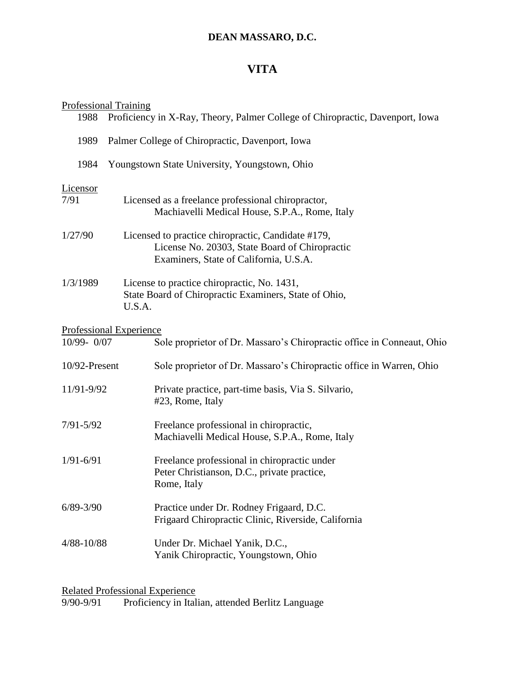## **DEAN MASSARO, D.C.**

## **VITA**

## Professional Training

| 1988             | Proficiency in X-Ray, Theory, Palmer College of Chiropractic, Davenport, Iowa |                                                                                                                                                |
|------------------|-------------------------------------------------------------------------------|------------------------------------------------------------------------------------------------------------------------------------------------|
| 1989             | Palmer College of Chiropractic, Davenport, Iowa                               |                                                                                                                                                |
| 1984             | Youngstown State University, Youngstown, Ohio                                 |                                                                                                                                                |
| Licensor<br>7/91 |                                                                               | Licensed as a freelance professional chiropractor,<br>Machiavelli Medical House, S.P.A., Rome, Italy                                           |
| 1/27/90          |                                                                               | Licensed to practice chiropractic, Candidate #179,<br>License No. 20303, State Board of Chiropractic<br>Examiners, State of California, U.S.A. |
| 1/3/1989         | U.S.A.                                                                        | License to practice chiropractic, No. 1431,<br>State Board of Chiropractic Examiners, State of Ohio,                                           |
|                  | <b>Professional Experience</b>                                                |                                                                                                                                                |
| 10/99-0/07       |                                                                               | Sole proprietor of Dr. Massaro's Chiropractic office in Conneaut, Ohio                                                                         |
| 10/92-Present    |                                                                               | Sole proprietor of Dr. Massaro's Chiropractic office in Warren, Ohio                                                                           |
| 11/91-9/92       |                                                                               | Private practice, part-time basis, Via S. Silvario,<br>#23, Rome, Italy                                                                        |
| $7/91 - 5/92$    |                                                                               | Freelance professional in chiropractic,<br>Machiavelli Medical House, S.P.A., Rome, Italy                                                      |
| $1/91 - 6/91$    |                                                                               | Freelance professional in chiropractic under<br>Peter Christianson, D.C., private practice,<br>Rome, Italy                                     |
| $6/89 - 3/90$    |                                                                               | Practice under Dr. Rodney Frigaard, D.C.<br>Frigaard Chiropractic Clinic, Riverside, California                                                |
| 4/88-10/88       |                                                                               | Under Dr. Michael Yanik, D.C.,<br>Yanik Chiropractic, Youngstown, Ohio                                                                         |
|                  |                                                                               |                                                                                                                                                |

Related Professional Experience 9/90-9/91 Proficiency in Italian, attended Berlitz Language